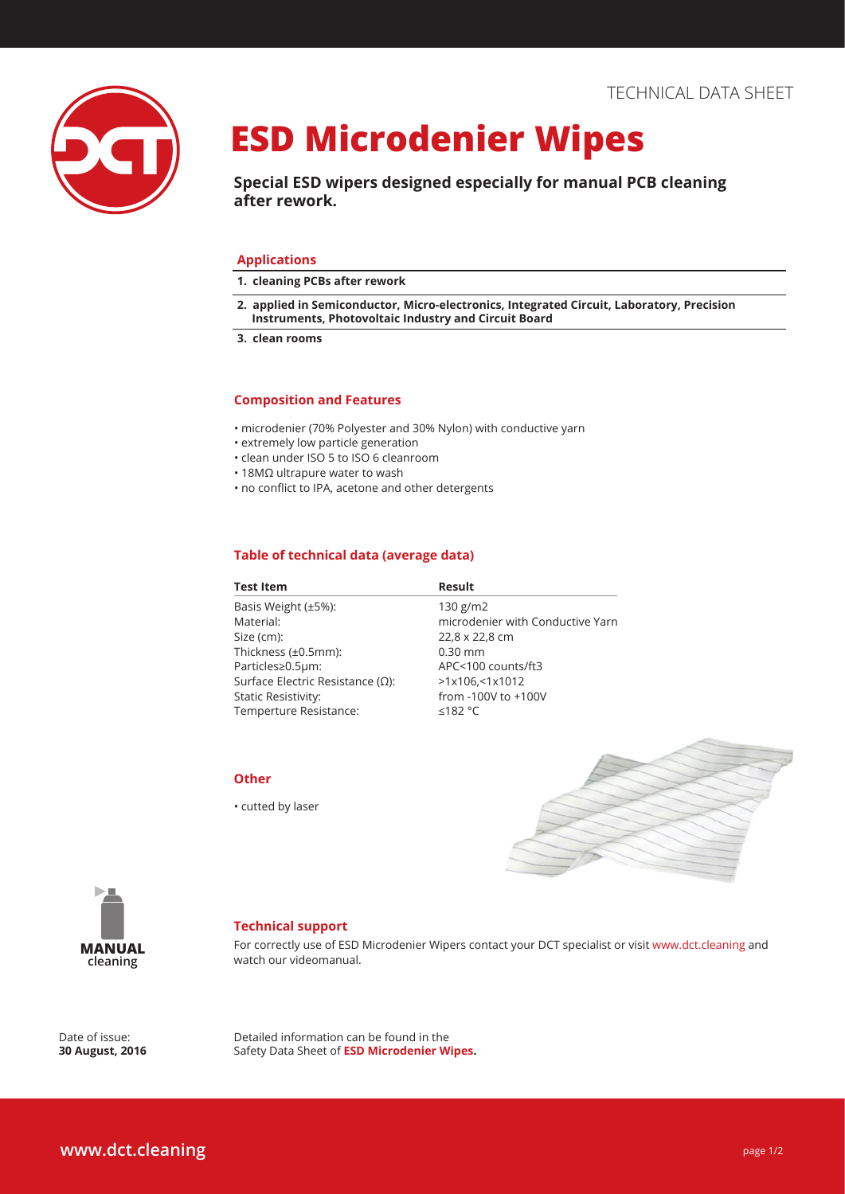

## **ESD Microdenier Wipes**

**Special ESD wipers designed especially for manual PCB cleaning after rework.** 

#### **Applications**

- **1. cleaning PCBs after rework**
- **2. applied in Semiconductor, Micro-electronics, Integrated Circuit, Laboratory, Precision Instruments, Photovoltaic Industry and Circuit Board**
- **3. clean rooms**

#### **Composition and Features**

- microdenier (70% Polyester and 30% Nylon) with conductive yarn
- extremely low particle generation
- clean under ISO 5 to ISO 6 cleanroom
- 18MΩ ultrapure water to wash
- no conflict to IPA, acetone and other detergents

#### **Table of technical data (average data)**

| <b>Result</b>                    |
|----------------------------------|
| 130 g/m2                         |
| microdenier with Conductive Yarn |
| 22,8 x 22,8 cm                   |
| $0.30$ mm                        |
| APC<100 counts/ft3               |
| >1x106, 51x1012                  |
| from -100V to +100V              |
| ≤182 °C                          |
|                                  |



• cutted by laser





#### **Technical support**

For correctly use of ESD Microdenier Wipers contact your DCT specialist or visit www.dct.cleaning and watch our videomanual.

Date of issue: **30 August, 2016** Detailed information can be found in the Safety Data Sheet of **ESD Microdenier Wipes.**